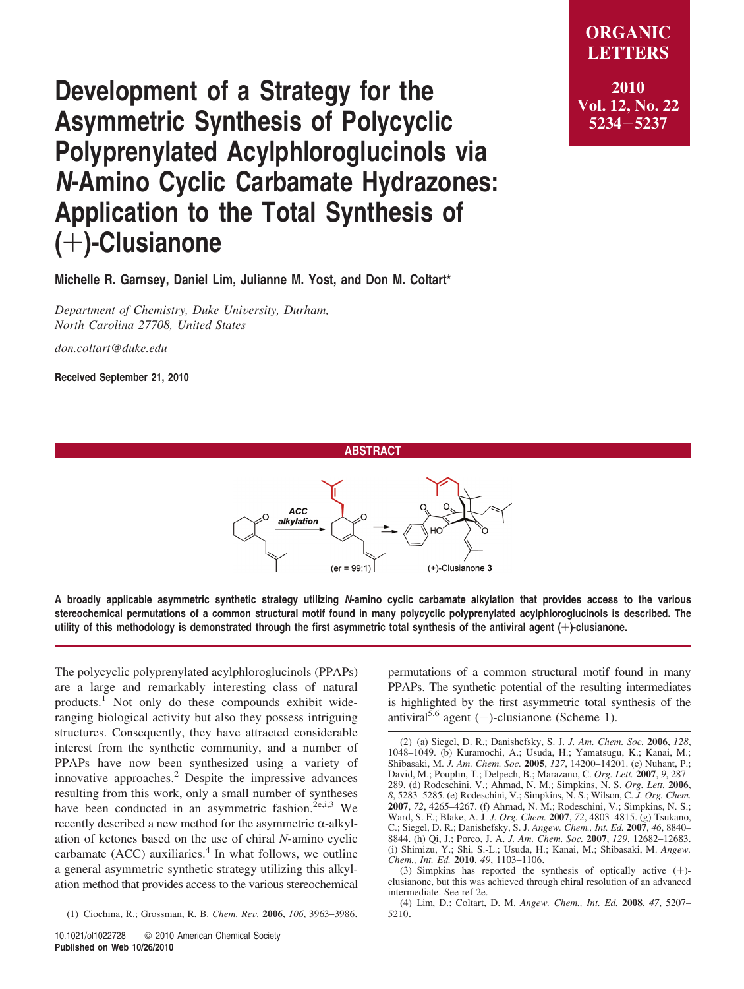## **Development of a Strategy for the Asymmetric Synthesis of Polycyclic Polyprenylated Acylphloroglucinols via** *N***-Amino Cyclic Carbamate Hydrazones: Application to the Total Synthesis of (**+**)-Clusianone**

**Michelle R. Garnsey, Daniel Lim, Julianne M. Yost, and Don M. Coltart\***

*Department of Chemistry, Duke University, Durham, North Carolina 27708, United States*

*don.coltart@duke.edu*

**Received September 21, 2010**







**A broadly applicable asymmetric synthetic strategy utilizing** *N***-amino cyclic carbamate alkylation that provides access to the various stereochemical permutations of a common structural motif found in many polycyclic polyprenylated acylphloroglucinols is described. The utility of this methodology is demonstrated through the first asymmetric total synthesis of the antiviral agent (**+**)-clusianone.**

The polycyclic polyprenylated acylphloroglucinols (PPAPs) are a large and remarkably interesting class of natural products. $<sup>1</sup>$  Not only do these compounds exhibit wide-</sup> ranging biological activity but also they possess intriguing structures. Consequently, they have attracted considerable interest from the synthetic community, and a number of PPAPs have now been synthesized using a variety of innovative approaches.<sup>2</sup> Despite the impressive advances resulting from this work, only a small number of syntheses have been conducted in an asymmetric fashion.<sup>2e,i,3</sup> We recently described a new method for the asymmetric  $\alpha$ -alkylation of ketones based on the use of chiral *N*-amino cyclic carbamate  $(ACC)$  auxiliaries.<sup>4</sup> In what follows, we outline a general asymmetric synthetic strategy utilizing this alkylation method that provides access to the various stereochemical

(1) Ciochina, R.; Grossman, R. B. *Chem. Re*V*.* **<sup>2006</sup>**, *<sup>106</sup>*, 3963–3986.

permutations of a common structural motif found in many PPAPs. The synthetic potential of the resulting intermediates is highlighted by the first asymmetric total synthesis of the antiviral<sup>5,6</sup> agent (+)-clusianone (Scheme 1).

(3) Simpkins has reported the synthesis of optically active (+)- clusianone, but this was achieved through chiral resolution of an advanced intermediate. See ref 2e.

(4) Lim, D.; Coltart, D. M. *Angew. Chem., Int. Ed.* **2008**, *47*, 5207– 5210.

<sup>(2) (</sup>a) Siegel, D. R.; Danishefsky, S. J. *J. Am. Chem. Soc.* **2006**, *128*, 1048–1049. (b) Kuramochi, A.; Usuda, H.; Yamatsugu, K.; Kanai, M.; Shibasaki, M. *J. Am. Chem. Soc.* **2005**, *127*, 14200–14201. (c) Nuhant, P.; David, M.; Pouplin, T.; Delpech, B.; Marazano, C. *Org. Lett.* **2007**, *9*, 287– 289. (d) Rodeschini, V.; Ahmad, N. M.; Simpkins, N. S. *Org. Lett.* **2006**, *8*, 5283–5285. (e) Rodeschini, V.; Simpkins, N. S.; Wilson, C. *J. Org. Chem.* **2007**, *72*, 4265–4267. (f) Ahmad, N. M.; Rodeschini, V.; Simpkins, N. S.; Ward, S. E.; Blake, A. J. *J. Org. Chem.* **2007**, *72*, 4803–4815. (g) Tsukano, C.; Siegel, D. R.; Danishefsky, S. J. *Angew. Chem., Int. Ed.* **2007**, *46*, 8840– 8844. (h) Qi, J.; Porco, J. A. *J. Am. Chem. Soc.* **2007**, *129*, 12682–12683. (i) Shimizu, Y.; Shi, S.-L.; Usuda, H.; Kanai, M.; Shibasaki, M. *Angew. Chem., Int. Ed.* **2010**, *49*, 1103–1106.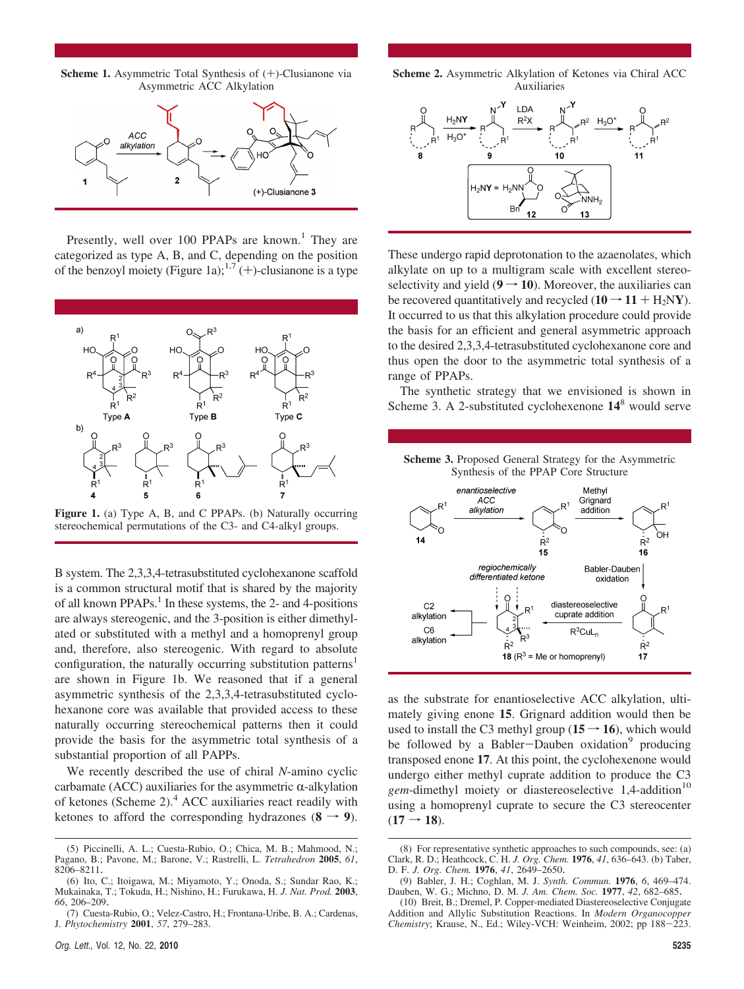**Scheme 1.** Asymmetric Total Synthesis of (+)-Clusianone via Asymmetric ACC Alkylation



Presently, well over 100 PPAPs are known.<sup>1</sup> They are categorized as type A, B, and C, depending on the position of the benzoyl moiety (Figure 1a);<sup>1,7</sup> (+)-clusianone is a type



**Figure 1.** (a) Type A, B, and C PPAPs. (b) Naturally occurring stereochemical permutations of the C3- and C4-alkyl groups.

B system. The 2,3,3,4-tetrasubstituted cyclohexanone scaffold is a common structural motif that is shared by the majority of all known PPAPs. $<sup>1</sup>$  In these systems, the 2- and 4-positions</sup> are always stereogenic, and the 3-position is either dimethylated or substituted with a methyl and a homoprenyl group and, therefore, also stereogenic. With regard to absolute configuration, the naturally occurring substitution patterns<sup>1</sup> are shown in Figure 1b. We reasoned that if a general asymmetric synthesis of the 2,3,3,4-tetrasubstituted cyclohexanone core was available that provided access to these naturally occurring stereochemical patterns then it could provide the basis for the asymmetric total synthesis of a substantial proportion of all PAPPs.

We recently described the use of chiral *N*-amino cyclic carbamate (ACC) auxiliaries for the asymmetric  $\alpha$ -alkylation of ketones (Scheme 2).4 ACC auxiliaries react readily with ketones to afford the corresponding hydrazones  $(8 \rightarrow 9)$ .



These undergo rapid deprotonation to the azaenolates, which alkylate on up to a multigram scale with excellent stereoselectivity and yield  $(9 \rightarrow 10)$ . Moreover, the auxiliaries can be recovered quantitatively and recycled  $(10 \rightarrow 11 + H_2 NY)$ . It occurred to us that this alkylation procedure could provide the basis for an efficient and general asymmetric approach to the desired 2,3,3,4-tetrasubstituted cyclohexanone core and thus open the door to the asymmetric total synthesis of a range of PPAPs.

The synthetic strategy that we envisioned is shown in Scheme 3. A 2-substituted cyclohexenone **14**<sup>8</sup> would serve





as the substrate for enantioselective ACC alkylation, ultimately giving enone **15**. Grignard addition would then be used to install the C3 methyl group  $(15 \rightarrow 16)$ , which would be followed by a Babler-Dauben oxidation<sup>9</sup> producing transposed enone **17**. At this point, the cyclohexenone would undergo either methyl cuprate addition to produce the C3 *gem*-dimethyl moiety or diastereoselective 1,4-addition<sup>10</sup> using a homoprenyl cuprate to secure the C3 stereocenter  $(17 \rightarrow 18)$ .

<sup>(5)</sup> Piccinelli, A. L.; Cuesta-Rubio, O.; Chica, M. B.; Mahmood, N.; Pagano, B.; Pavone, M.; Barone, V.; Rastrelli, L. *Tetrahedron* **2005**, *61*, 8206–8211.

<sup>(6)</sup> Ito, C.; Itoigawa, M.; Miyamoto, Y.; Onoda, S.; Sundar Rao, K.; Mukainaka, T.; Tokuda, H.; Nishino, H.; Furukawa, H. *J. Nat. Prod.* **2003**, *66*, 206–209.

<sup>(7)</sup> Cuesta-Rubio, O.; Velez-Castro, H.; Frontana-Uribe, B. A.; Cardenas, J. *Phytochemistry* **2001**, *57*, 279–283.

<sup>(8)</sup> For representative synthetic approaches to such compounds, see: (a) Clark, R. D.; Heathcock, C. H. *J. Org. Chem.* **1976**, *41*, 636–643. (b) Taber, D. F. *J. Org. Chem.* **1976**, *41*, 2649–2650.

<sup>(9)</sup> Babler, J. H.; Coghlan, M. J. *Synth. Commun.* **1976**, *6*, 469–474. Dauben, W. G.; Michno, D. M. *J. Am. Chem. Soc.* **1977**, *42*, 682–685.

<sup>(10)</sup> Breit, B.; Dremel, P. Copper-mediated Diastereoselective Conjugate Addition and Allylic Substitution Reactions. In *Modern Organocopper Chemistry*; Krause, N., Ed.; Wiley-VCH: Weinheim, 2002; pp 188-223.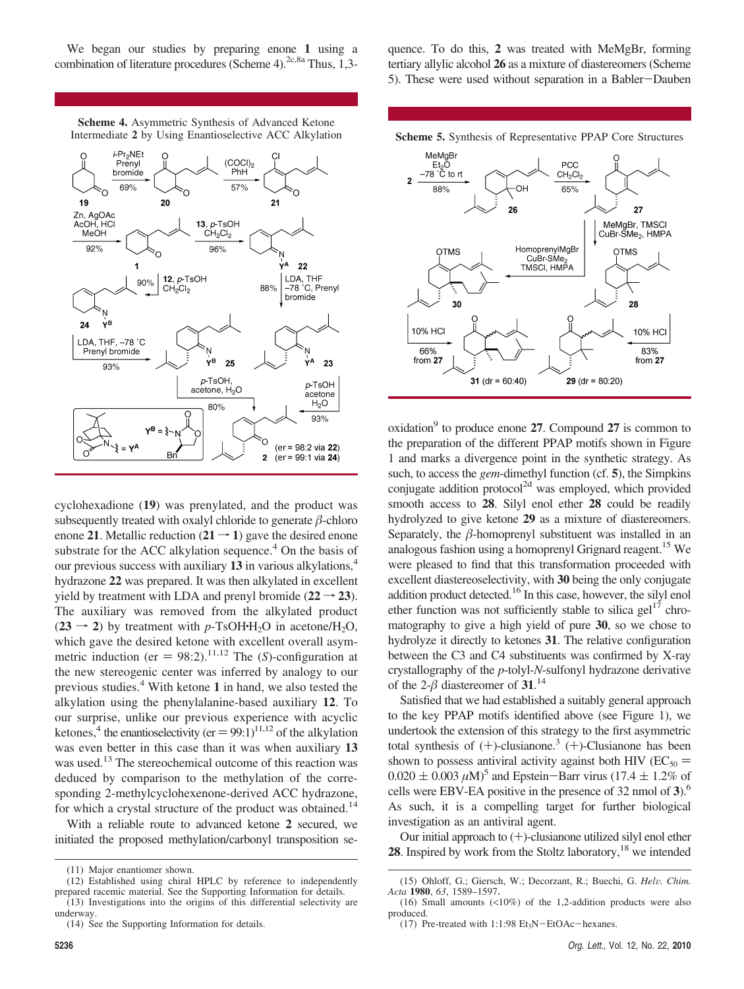We began our studies by preparing enone **1** using a combination of literature procedures (Scheme 4).<sup>2c,8a</sup> Thus, 1,3-

**Scheme 4.** Asymmetric Synthesis of Advanced Ketone



cyclohexadione (**19**) was prenylated, and the product was subsequently treated with oxalyl chloride to generate  $\beta$ -chloro enone 21. Metallic reduction  $(21 \rightarrow 1)$  gave the desired enone substrate for the ACC alkylation sequence.<sup>4</sup> On the basis of our previous success with auxiliary **13** in various alkylations,4 hydrazone **22** was prepared. It was then alkylated in excellent yield by treatment with LDA and prenyl bromide  $(22 \rightarrow 23)$ . The auxiliary was removed from the alkylated product  $(23 \rightarrow 2)$  by treatment with *p*-TsOH·H<sub>2</sub>O in acetone/H<sub>2</sub>O, which gave the desired ketone with excellent overall asymmetric induction (er  $= 98:2$ ).<sup>11,12</sup> The (*S*)-configuration at the new stereogenic center was inferred by analogy to our previous studies.4 With ketone **1** in hand, we also tested the alkylation using the phenylalanine-based auxiliary **12**. To our surprise, unlike our previous experience with acyclic ketones,<sup>4</sup> the enantioselectivity (er  $= 99:1$ )<sup>11,12</sup> of the alkylation was even better in this case than it was when auxiliary **13** was used.<sup>13</sup> The stereochemical outcome of this reaction was deduced by comparison to the methylation of the corresponding 2-methylcyclohexenone-derived ACC hydrazone, for which a crystal structure of the product was obtained.<sup>14</sup>

With a reliable route to advanced ketone **2** secured, we initiated the proposed methylation/carbonyl transposition se-

 $(13)$  Investigations into the origins of this differential selectivity are underway.

quence. To do this, **2** was treated with MeMgBr, forming tertiary allylic alcohol **26** as a mixture of diastereomers (Scheme 5). These were used without separation in a Babler-Dauben





oxidation<sup>9</sup> to produce enone 27. Compound 27 is common to the preparation of the different PPAP motifs shown in Figure 1 and marks a divergence point in the synthetic strategy. As such, to access the *gem*-dimethyl function (cf. **5**), the Simpkins conjugate addition protocol<sup>2d</sup> was employed, which provided smooth access to **28**. Silyl enol ether **28** could be readily hydrolyzed to give ketone **29** as a mixture of diastereomers. Separately, the  $\beta$ -homoprenyl substituent was installed in an analogous fashion using a homoprenyl Grignard reagent.<sup>15</sup> We were pleased to find that this transformation proceeded with excellent diastereoselectivity, with **30** being the only conjugate addition product detected.<sup>16</sup> In this case, however, the silyl enol ether function was not sufficiently stable to silica gel<sup>17</sup> chromatography to give a high yield of pure **30**, so we chose to hydrolyze it directly to ketones **31**. The relative configuration between the C3 and C4 substituents was confirmed by X-ray crystallography of the *p*-tolyl-*N*-sulfonyl hydrazone derivative of the  $2-\beta$  diastereomer of **31**.<sup>14</sup>

Satisfied that we had established a suitably general approach to the key PPAP motifs identified above (see Figure 1), we undertook the extension of this strategy to the first asymmetric total synthesis of  $(+)$ -clusianone.<sup>3</sup>  $(+)$ -Clusianone has been shown to possess antiviral activity against both HIV ( $EC_{50}$  =  $0.020 \pm 0.003 \,\mu M$ <sup>5</sup> and Epstein-Barr virus (17.4  $\pm$  1.2% of cells were EBV-EA positive in the presence of 32 nmol of **3**).6 As such, it is a compelling target for further biological investigation as an antiviral agent.

Our initial approach to (+)-clusianone utilized silyl enol ether **28**. Inspired by work from the Stoltz laboratory,<sup>18</sup> we intended

<sup>(11)</sup> Major enantiomer shown.

<sup>(12)</sup> Established using chiral HPLC by reference to independently prepared racemic material. See the Supporting Information for details.

<sup>(14)</sup> See the Supporting Information for details.

<sup>(15)</sup> Ohloff, G.; Giersch, W.; Decorzant, R.; Buechi, G. *Hel*V*. Chim. Acta* **1980**, *63*, 1589–1597.

<sup>(16)</sup> Small amounts (<10%) of the 1,2-addition products were also produced.

<sup>(17)</sup> Pre-treated with  $1:1:98 \text{ Et}_3\text{N}-\text{EtOAc}-\text{hexanes}.$